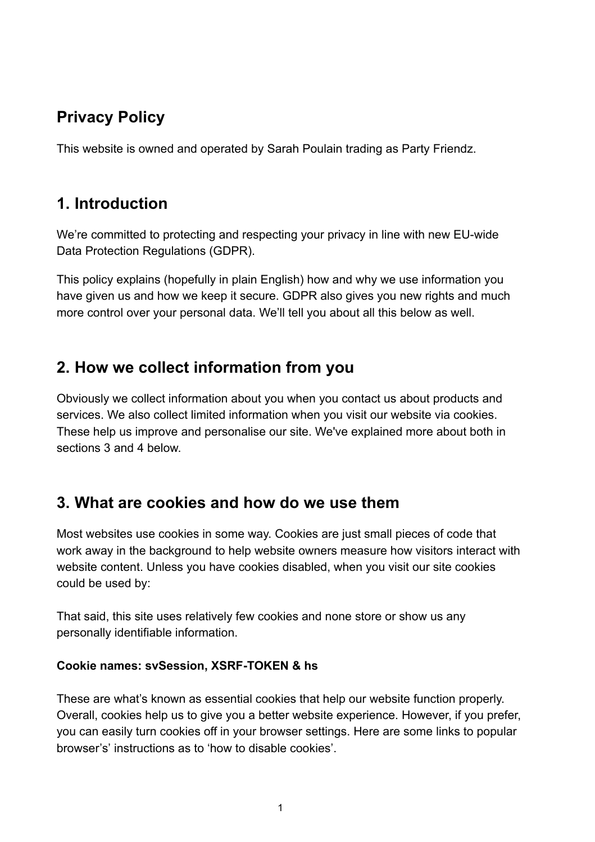# Privacy Policy

This website is owned and operated by Sarah Poulain trading as Party Friendz.

## 1. Introduction

We're committed to protecting and respecting your privacy in line with new EU-wide Data Protection Regulations (GDPR).

This policy explains (hopefully in plain English) how and why we use information you have given us and how we keep it secure. GDPR also gives you new rights and much more control over your personal data. We'll tell you about all this below as well.

# 2. How we collect information from you

Obviously we collect information about you when you contact us about products and services. We also collect limited information when you visit our website via cookies. These help us improve and personalise our site. We've explained more about both in sections 3 and 4 below.

## 3. What are cookies and how do we use them

Most websites use cookies in some way. Cookies are just small pieces of code that work away in the background to help website owners measure how visitors interact with website content. Unless you have cookies disabled, when you visit our site cookies could be used by:

That said, this site uses relatively few cookies and none store or show us any personally identifiable information.

#### Cookie names: svSession, XSRF-TOKEN & hs

These are what's known as essential cookies that help our website function properly. Overall, cookies help us to give you a better website experience. However, if you prefer, you can easily turn cookies off in your browser settings. Here are some links to popular browser's' instructions as to 'how to disable cookies'.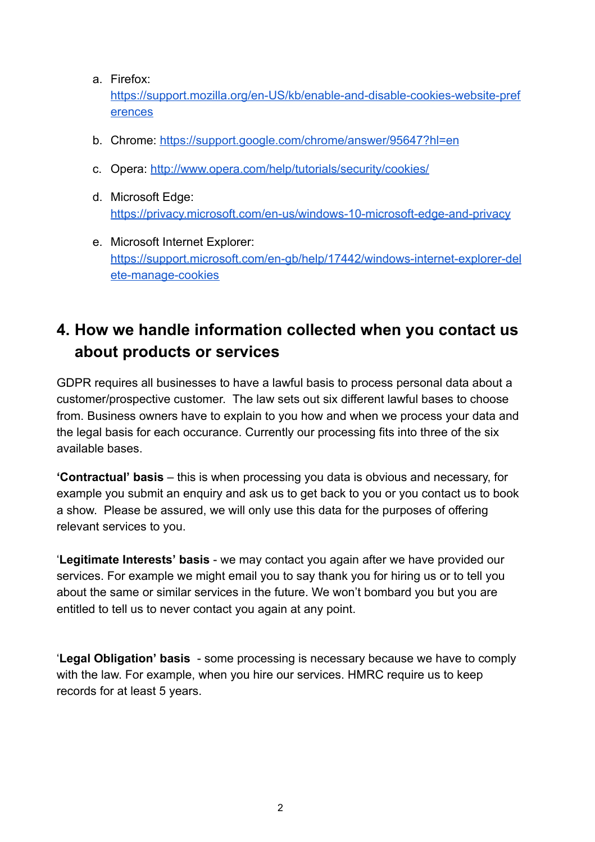#### a. Firefox:

[https://support.mozilla.org/en-US/kb/enable-and-disable-cookies-website-pref](https://support.mozilla.org/en-US/kb/enable-and-disable-cookies-website-preferences) [erences](https://support.mozilla.org/en-US/kb/enable-and-disable-cookies-website-preferences)

- b. Chrome: <https://support.google.com/chrome/answer/95647?hl=en>
- c. Opera: <http://www.opera.com/help/tutorials/security/cookies/>
- d. Microsoft Edge: <https://privacy.microsoft.com/en-us/windows-10-microsoft-edge-and-privacy>
- e. Microsoft Internet Explorer: [https://support.microsoft.com/en-gb/help/17442/windows-internet-explorer-del](https://support.microsoft.com/en-gb/help/17442/windows-internet-explorer-delete-manage-cookies) [ete-manage-cookies](https://support.microsoft.com/en-gb/help/17442/windows-internet-explorer-delete-manage-cookies)

# 4. How we handle information collected when you contact us about products or services

GDPR requires all businesses to have a lawful basis to process personal data about a customer/prospective customer. The law sets out six different lawful bases to choose from. Business owners have to explain to you how and when we process your data and the legal basis for each occurance. Currently our processing fits into three of the six available bases.

'Contractual' basis – this is when processing you data is obvious and necessary, for example you submit an enquiry and ask us to get back to you or you contact us to book a show. Please be assured, we will only use this data for the purposes of offering relevant services to you.

'Legitimate Interests' basis - we may contact you again after we have provided our services. For example we might email you to say thank you for hiring us or to tell you about the same or similar services in the future. We won't bombard you but you are entitled to tell us to never contact you again at any point.

'Legal Obligation' basis - some processing is necessary because we have to comply with the law. For example, when you hire our services. HMRC require us to keep records for at least 5 years.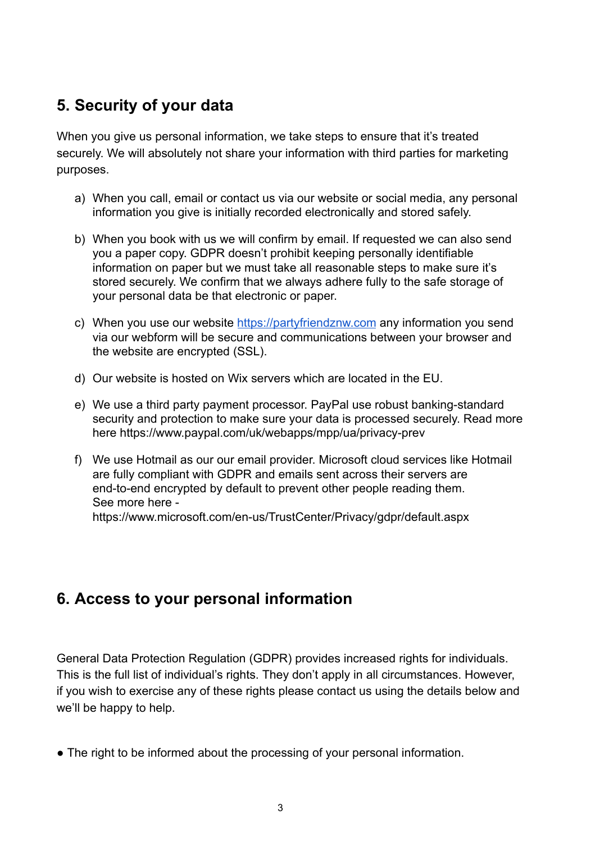# 5. Security of your data

When you give us personal information, we take steps to ensure that it's treated securely. We will absolutely not share your information with third parties for marketing purposes.

- a) When you call, email or contact us via our website or social media, any personal information you give is initially recorded electronically and stored safely.
- b) When you book with us we will confirm by email. If requested we can also send you a paper copy. GDPR doesn't prohibit keeping personally identifiable information on paper but we must take all reasonable steps to make sure it's stored securely. We confirm that we always adhere fully to the safe storage of your personal data be that electronic or paper.
- c) When you use our website [https://partyfriendznw.com](https://partyfriendznw.com/) any information you send via our webform will be secure and communications between your browser and the website are encrypted (SSL).
- d) Our website is hosted on Wix servers which are located in the EU.
- e) We use a third party payment processor. PayPal use robust banking-standard security and protection to make sure your data is processed securely. Read more here https://www.paypal.com/uk/webapps/mpp/ua/privacy-prev
- f) We use Hotmail as our our email provider. Microsoft cloud services like Hotmail are fully compliant with GDPR and emails sent across their servers are end-to-end encrypted by default to prevent other people reading them. See more here https://www.microsoft.com/en-us/TrustCenter/Privacy/gdpr/default.aspx

# 6. Access to your personal information

General Data Protection Regulation (GDPR) provides increased rights for individuals. This is the full list of individual's rights. They don't apply in all circumstances. However, if you wish to exercise any of these rights please contact us using the details below and we'll be happy to help.

• The right to be informed about the processing of your personal information.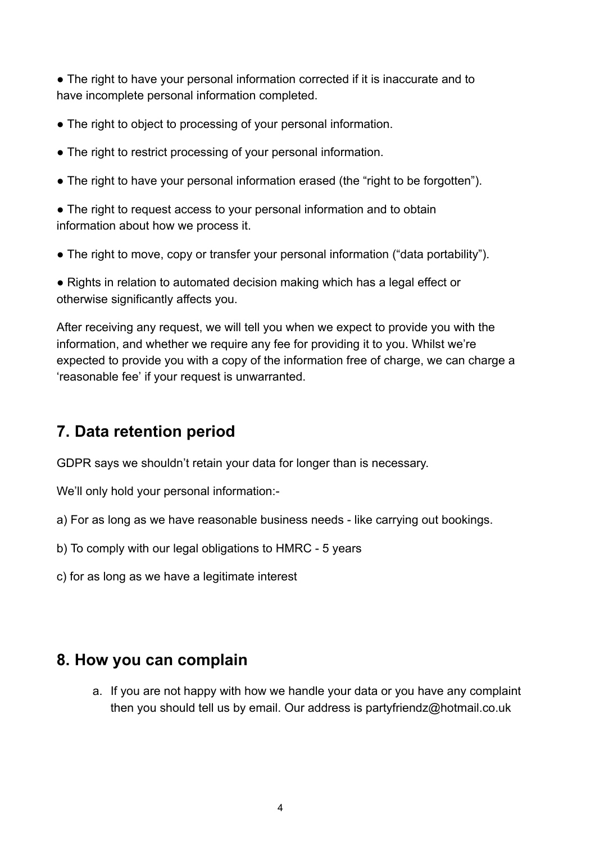• The right to have your personal information corrected if it is inaccurate and to have incomplete personal information completed.

- The right to object to processing of your personal information.
- The right to restrict processing of your personal information.
- The right to have your personal information erased (the "right to be forgotten").

• The right to request access to your personal information and to obtain information about how we process it.

• The right to move, copy or transfer your personal information ("data portability").

● Rights in relation to automated decision making which has a legal effect or otherwise significantly affects you.

After receiving any request, we will tell you when we expect to provide you with the information, and whether we require any fee for providing it to you. Whilst we're expected to provide you with a copy of the information free of charge, we can charge a 'reasonable fee' if your request is unwarranted.

# 7. Data retention period

GDPR says we shouldn't retain your data for longer than is necessary.

We'll only hold your personal information:-

- a) For as long as we have reasonable business needs like carrying out bookings.
- b) To comply with our legal obligations to HMRC 5 years
- c) for as long as we have a legitimate interest

## 8. How you can complain

a. If you are not happy with how we handle your data or you have any complaint then you should tell us by email. Our address is partyfriendz@hotmail.co.uk